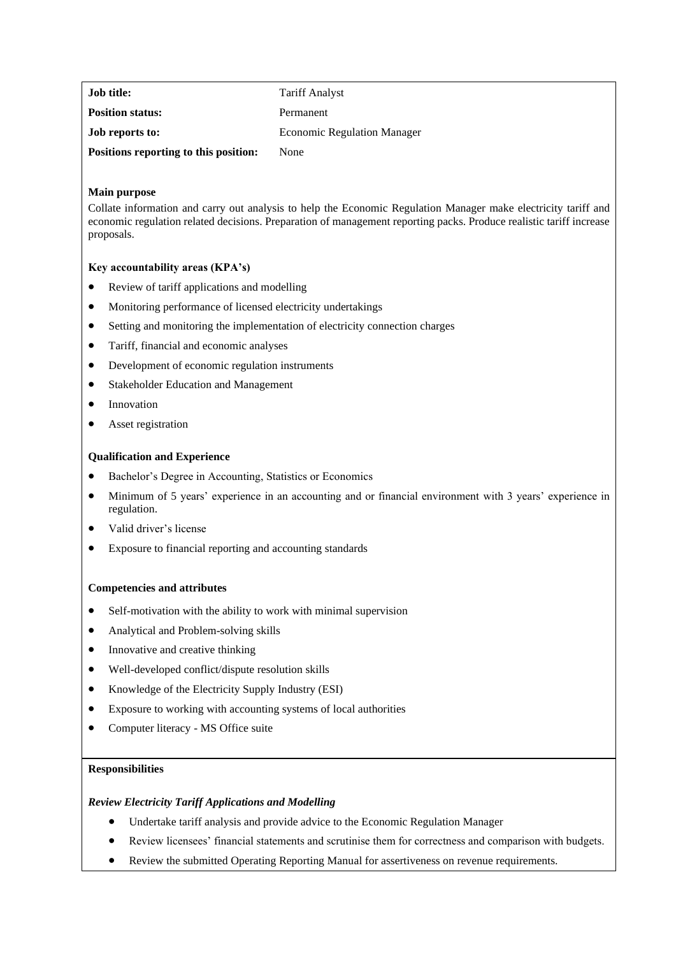| <b>Job title:</b>                     | <b>Tariff Analyst</b>              |
|---------------------------------------|------------------------------------|
| <b>Position status:</b>               | Permanent                          |
| <b>Job reports to:</b>                | <b>Economic Regulation Manager</b> |
| Positions reporting to this position: | None                               |

# **Main purpose**

Collate information and carry out analysis to help the Economic Regulation Manager make electricity tariff and economic regulation related decisions. Preparation of management reporting packs. Produce realistic tariff increase proposals.

# **Key accountability areas (KPA's)**

- Review of tariff applications and modelling
- Monitoring performance of licensed electricity undertakings
- Setting and monitoring the implementation of electricity connection charges
- Tariff, financial and economic analyses
- Development of economic regulation instruments
- Stakeholder Education and Management
- Innovation
- Asset registration

## **Qualification and Experience**

- Bachelor's Degree in Accounting, Statistics or Economics
- Minimum of 5 years' experience in an accounting and or financial environment with 3 years' experience in regulation.
- Valid driver's license
- Exposure to financial reporting and accounting standards

# **Competencies and attributes**

- Self-motivation with the ability to work with minimal supervision
- Analytical and Problem-solving skills
- Innovative and creative thinking
- Well-developed conflict/dispute resolution skills
- Knowledge of the Electricity Supply Industry (ESI)
- Exposure to working with accounting systems of local authorities
- Computer literacy MS Office suite

# **Responsibilities**

# *Review Electricity Tariff Applications and Modelling*

- Undertake tariff analysis and provide advice to the Economic Regulation Manager
- Review licensees' financial statements and scrutinise them for correctness and comparison with budgets.
- Review the submitted Operating Reporting Manual for assertiveness on revenue requirements.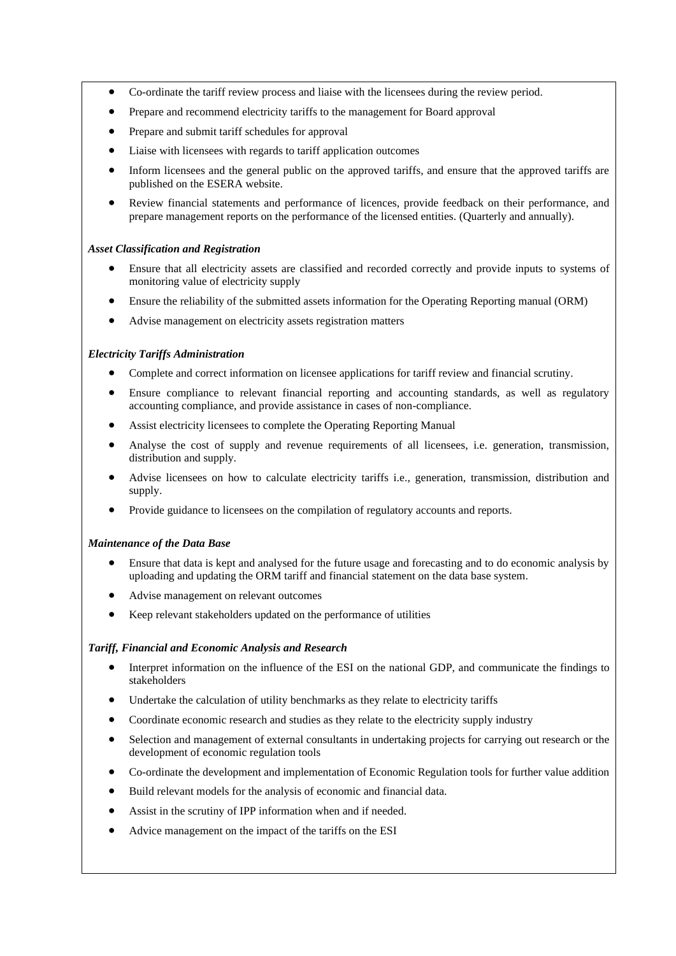- Co-ordinate the tariff review process and liaise with the licensees during the review period.
- Prepare and recommend electricity tariffs to the management for Board approval
- Prepare and submit tariff schedules for approval
- Liaise with licensees with regards to tariff application outcomes
- Inform licensees and the general public on the approved tariffs, and ensure that the approved tariffs are published on the ESERA website.
- Review financial statements and performance of licences, provide feedback on their performance, and prepare management reports on the performance of the licensed entities. (Quarterly and annually).

### *Asset Classification and Registration*

- Ensure that all electricity assets are classified and recorded correctly and provide inputs to systems of monitoring value of electricity supply
- Ensure the reliability of the submitted assets information for the Operating Reporting manual (ORM)
- Advise management on electricity assets registration matters

## *Electricity Tariffs Administration*

- Complete and correct information on licensee applications for tariff review and financial scrutiny.
- Ensure compliance to relevant financial reporting and accounting standards, as well as regulatory accounting compliance, and provide assistance in cases of non-compliance.
- Assist electricity licensees to complete the Operating Reporting Manual
- Analyse the cost of supply and revenue requirements of all licensees, i.e. generation, transmission, distribution and supply.
- Advise licensees on how to calculate electricity tariffs i.e., generation, transmission, distribution and supply.
- Provide guidance to licensees on the compilation of regulatory accounts and reports.

## *Maintenance of the Data Base*

- Ensure that data is kept and analysed for the future usage and forecasting and to do economic analysis by uploading and updating the ORM tariff and financial statement on the data base system.
- Advise management on relevant outcomes
- Keep relevant stakeholders updated on the performance of utilities

## *Tariff, Financial and Economic Analysis and Research*

- Interpret information on the influence of the ESI on the national GDP, and communicate the findings to stakeholders
- Undertake the calculation of utility benchmarks as they relate to electricity tariffs
- Coordinate economic research and studies as they relate to the electricity supply industry
- Selection and management of external consultants in undertaking projects for carrying out research or the development of economic regulation tools
- Co-ordinate the development and implementation of Economic Regulation tools for further value addition
- Build relevant models for the analysis of economic and financial data.
- Assist in the scrutiny of IPP information when and if needed.
- Advice management on the impact of the tariffs on the ESI